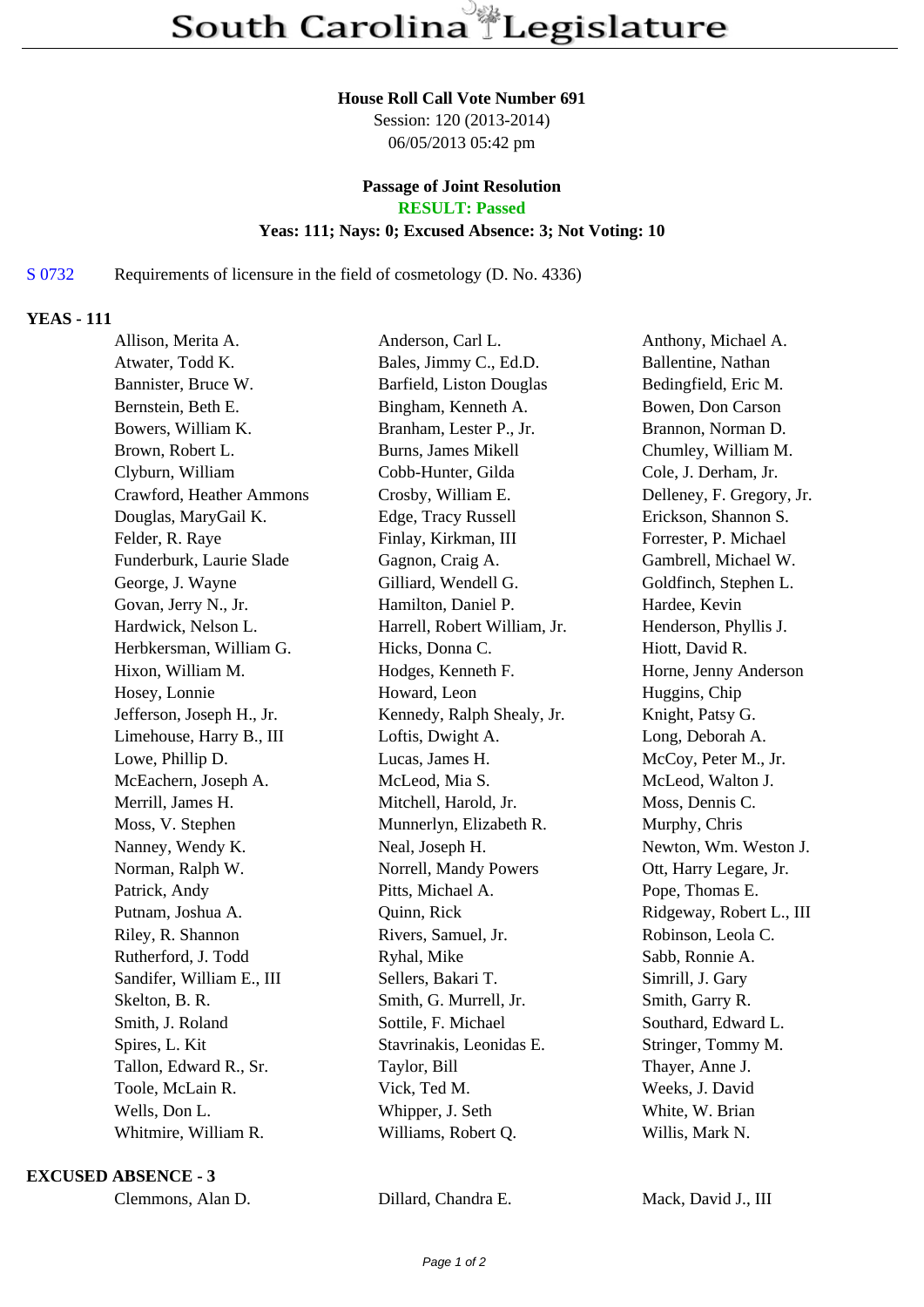#### **House Roll Call Vote Number 691**

Session: 120 (2013-2014) 06/05/2013 05:42 pm

# **Passage of Joint Resolution**

**RESULT: Passed**

### **Yeas: 111; Nays: 0; Excused Absence: 3; Not Voting: 10**

## S 0732 Requirements of licensure in the field of cosmetology (D. No. 4336)

## **YEAS - 111**

| Allison, Merita A.        | Anderson, Carl L.            | Anthony, Michael A.       |  |
|---------------------------|------------------------------|---------------------------|--|
| Atwater, Todd K.          | Bales, Jimmy C., Ed.D.       | Ballentine, Nathan        |  |
| Bannister, Bruce W.       | Barfield, Liston Douglas     | Bedingfield, Eric M.      |  |
| Bernstein, Beth E.        | Bingham, Kenneth A.          | Bowen, Don Carson         |  |
| Bowers, William K.        | Branham, Lester P., Jr.      | Brannon, Norman D.        |  |
| Brown, Robert L.          | <b>Burns, James Mikell</b>   | Chumley, William M.       |  |
| Clyburn, William          | Cobb-Hunter, Gilda           | Cole, J. Derham, Jr.      |  |
| Crawford, Heather Ammons  | Crosby, William E.           | Delleney, F. Gregory, Jr. |  |
| Douglas, MaryGail K.      | Edge, Tracy Russell          | Erickson, Shannon S.      |  |
| Felder, R. Raye           | Finlay, Kirkman, III         | Forrester, P. Michael     |  |
| Funderburk, Laurie Slade  | Gagnon, Craig A.             | Gambrell, Michael W.      |  |
| George, J. Wayne          | Gilliard, Wendell G.         | Goldfinch, Stephen L.     |  |
| Govan, Jerry N., Jr.      | Hamilton, Daniel P.          | Hardee, Kevin             |  |
| Hardwick, Nelson L.       | Harrell, Robert William, Jr. | Henderson, Phyllis J.     |  |
| Herbkersman, William G.   | Hicks, Donna C.              | Hiott, David R.           |  |
| Hixon, William M.         | Hodges, Kenneth F.           | Horne, Jenny Anderson     |  |
| Hosey, Lonnie             | Howard, Leon                 | Huggins, Chip             |  |
| Jefferson, Joseph H., Jr. | Kennedy, Ralph Shealy, Jr.   | Knight, Patsy G.          |  |
| Limehouse, Harry B., III  | Loftis, Dwight A.            | Long, Deborah A.          |  |
| Lowe, Phillip D.          | Lucas, James H.              | McCoy, Peter M., Jr.      |  |
| McEachern, Joseph A.      | McLeod, Mia S.               | McLeod, Walton J.         |  |
| Merrill, James H.         | Mitchell, Harold, Jr.        | Moss, Dennis C.           |  |
| Moss, V. Stephen          | Munnerlyn, Elizabeth R.      | Murphy, Chris             |  |
| Nanney, Wendy K.          | Neal, Joseph H.              | Newton, Wm. Weston J.     |  |
| Norman, Ralph W.          | Norrell, Mandy Powers        | Ott, Harry Legare, Jr.    |  |
| Patrick, Andy             | Pitts, Michael A.            | Pope, Thomas E.           |  |
| Putnam, Joshua A.         | Quinn, Rick                  | Ridgeway, Robert L., III  |  |
| Riley, R. Shannon         | Rivers, Samuel, Jr.          | Robinson, Leola C.        |  |
| Rutherford, J. Todd       | Ryhal, Mike                  | Sabb, Ronnie A.           |  |
| Sandifer, William E., III | Sellers, Bakari T.           | Simrill, J. Gary          |  |
| Skelton, B. R.            | Smith, G. Murrell, Jr.       | Smith, Garry R.           |  |
| Smith, J. Roland          | Sottile, F. Michael          | Southard, Edward L.       |  |
| Spires, L. Kit            | Stavrinakis, Leonidas E.     | Stringer, Tommy M.        |  |
| Tallon, Edward R., Sr.    | Taylor, Bill                 | Thayer, Anne J.           |  |
| Toole, McLain R.          | Vick, Ted M.                 | Weeks, J. David           |  |
| Wells, Don L.             | Whipper, J. Seth             | White, W. Brian           |  |
| Whitmire, William R.      | Williams, Robert Q.          | Willis, Mark N.           |  |

#### **EXCUSED ABSENCE - 3**

| Clemmons, Alan D. |  |  |
|-------------------|--|--|
|-------------------|--|--|

Dillard, Chandra E. Mack, David J., III